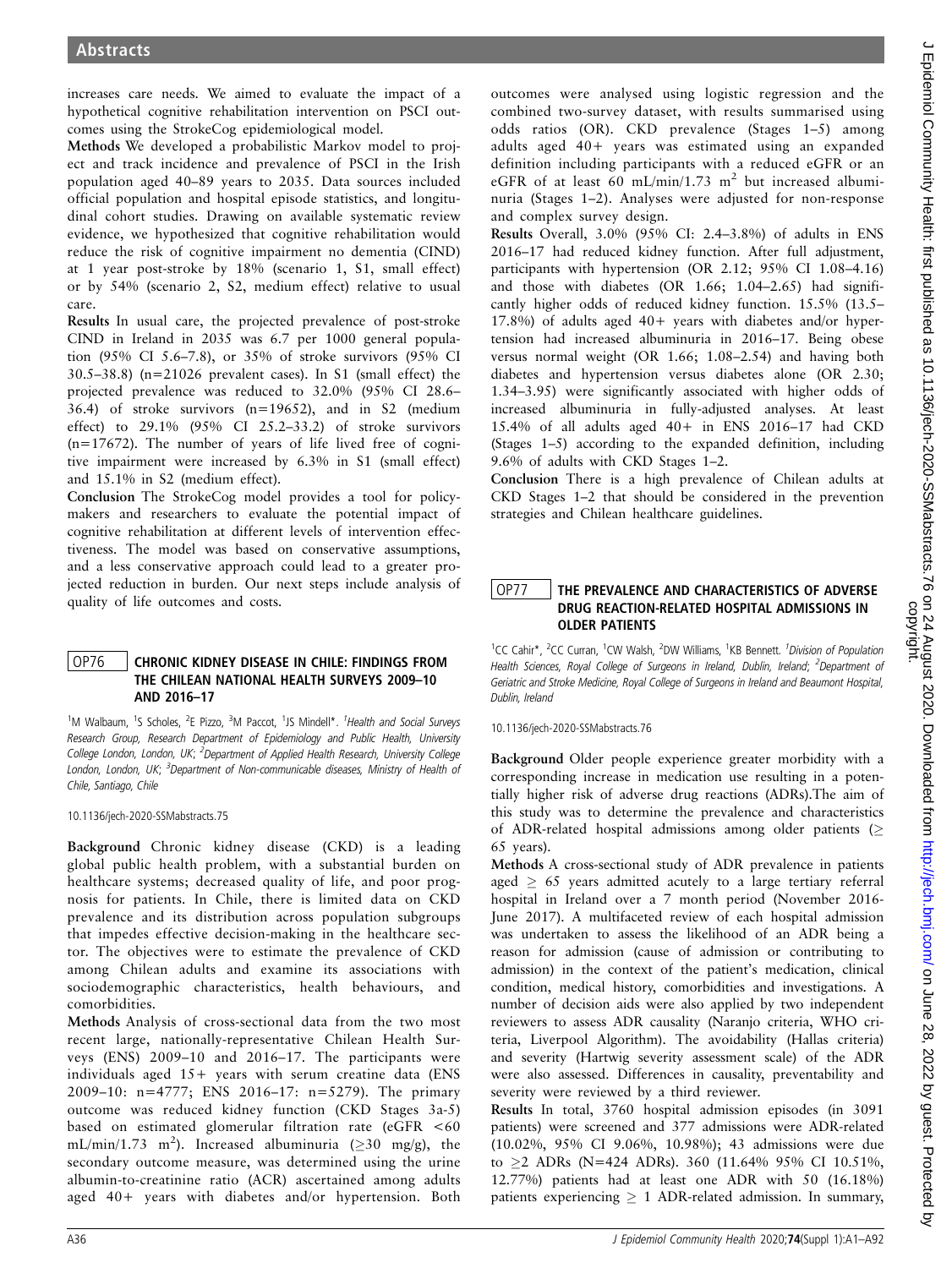increases care needs. We aimed to evaluate the impact of a hypothetical cognitive rehabilitation intervention on PSCI outcomes using the StrokeCog epidemiological model.

Methods We developed a probabilistic Markov model to project and track incidence and prevalence of PSCI in the Irish population aged 40–89 years to 2035. Data sources included official population and hospital episode statistics, and longitudinal cohort studies. Drawing on available systematic review evidence, we hypothesized that cognitive rehabilitation would reduce the risk of cognitive impairment no dementia (CIND) at 1 year post-stroke by 18% (scenario 1, S1, small effect) or by 54% (scenario 2, S2, medium effect) relative to usual care.

Results In usual care, the projected prevalence of post-stroke CIND in Ireland in 2035 was 6.7 per 1000 general population (95% CI 5.6–7.8), or 35% of stroke survivors (95% CI 30.5–38.8) (n=21026 prevalent cases). In S1 (small effect) the projected prevalence was reduced to 32.0% (95% CI 28.6– 36.4) of stroke survivors (n=19652), and in S2 (medium effect) to 29.1% (95% CI 25.2–33.2) of stroke survivors  $(n=17672)$ . The number of years of life lived free of cognitive impairment were increased by 6.3% in S1 (small effect) and 15.1% in S2 (medium effect).

Conclusion The StrokeCog model provides a tool for policymakers and researchers to evaluate the potential impact of cognitive rehabilitation at different levels of intervention effectiveness. The model was based on conservative assumptions, and a less conservative approach could lead to a greater projected reduction in burden. Our next steps include analysis of quality of life outcomes and costs.

### OP76 | CHRONIC KIDNEY DISEASE IN CHILE: FINDINGS FROM THE CHILEAN NATIONAL HEALTH SURVEYS 2009–10 AND 2016–17

<sup>1</sup>M Walbaum, <sup>1</sup>S Scholes, <sup>2</sup>E Pizzo, <sup>3</sup>M Paccot, <sup>1</sup>JS Mindell\*. <sup>1</sup>Health and Social Surveys Research Group, Research Department of Epidemiology and Public Health, University College London, London, UK; <sup>2</sup>Department of Applied Health Research, University College London, London, UK; <sup>3</sup>Department of Non-communicable diseases, Ministry of Health of Chile, Santiago, Chile

10.1136/jech-2020-SSMabstracts.75

Background Chronic kidney disease (CKD) is a leading global public health problem, with a substantial burden on healthcare systems; decreased quality of life, and poor prognosis for patients. In Chile, there is limited data on CKD prevalence and its distribution across population subgroups that impedes effective decision-making in the healthcare sector. The objectives were to estimate the prevalence of CKD among Chilean adults and examine its associations with sociodemographic characteristics, health behaviours, and comorbidities.

Methods Analysis of cross-sectional data from the two most recent large, nationally-representative Chilean Health Surveys (ENS) 2009–10 and 2016–17. The participants were individuals aged 15+ years with serum creatine data (ENS 2009–10: n=4777; ENS 2016–17: n=5279). The primary outcome was reduced kidney function (CKD Stages 3a-5) based on estimated glomerular filtration rate (eGFR <60 mL/min/1.73 m<sup>2</sup>). Increased albuminuria ( $\geq$ 30 mg/g), the secondary outcome measure, was determined using the urine albumin-to-creatinine ratio (ACR) ascertained among adults aged 40+ years with diabetes and/or hypertension. Both

outcomes were analysed using logistic regression and the combined two-survey dataset, with results summarised using odds ratios (OR). CKD prevalence (Stages 1–5) among adults aged 40+ years was estimated using an expanded definition including participants with a reduced eGFR or an eGFR of at least 60 mL/min/1.73 m<sup>2</sup> but increased albuminuria (Stages 1–2). Analyses were adjusted for non-response and complex survey design.

Results Overall, 3.0% (95% CI: 2.4–3.8%) of adults in ENS 2016–17 had reduced kidney function. After full adjustment, participants with hypertension (OR 2.12; 95% CI 1.08–4.16) and those with diabetes (OR 1.66; 1.04–2.65) had significantly higher odds of reduced kidney function. 15.5% (13.5– 17.8%) of adults aged 40+ years with diabetes and/or hypertension had increased albuminuria in 2016–17. Being obese versus normal weight (OR 1.66; 1.08–2.54) and having both diabetes and hypertension versus diabetes alone (OR 2.30; 1.34–3.95) were significantly associated with higher odds of increased albuminuria in fully-adjusted analyses. At least 15.4% of all adults aged 40+ in ENS 2016–17 had CKD (Stages 1–5) according to the expanded definition, including 9.6% of adults with CKD Stages 1–2.

Conclusion There is a high prevalence of Chilean adults at CKD Stages 1–2 that should be considered in the prevention strategies and Chilean healthcare guidelines.

### OP77 | THE PREVALENCE AND CHARACTERISTICS OF ADVERSE DRUG REACTION-RELATED HOSPITAL ADMISSIONS IN OLDER PATIENTS

<sup>1</sup>CC Cahir\*, <sup>2</sup>CC Curran, <sup>1</sup>CW Walsh, <sup>2</sup>DW Williams, <sup>1</sup>KB Bennett. <sup>*1Division of Population*</sup> Health Sciences, Royal College of Surgeons in Ireland, Dublin, Ireland; <sup>2</sup>Department of Geriatric and Stroke Medicine, Royal College of Surgeons in Ireland and Beaumont Hospital, Dublin, Ireland

10.1136/jech-2020-SSMabstracts.76

Background Older people experience greater morbidity with a corresponding increase in medication use resulting in a potentially higher risk of adverse drug reactions (ADRs).The aim of this study was to determine the prevalence and characteristics of ADR-related hospital admissions among older patients ( 65 years).

Methods A cross-sectional study of ADR prevalence in patients aged  $\geq 65$  years admitted acutely to a large tertiary referral hospital in Ireland over a 7 month period (November 2016- June 2017). A multifaceted review of each hospital admission was undertaken to assess the likelihood of an ADR being a reason for admission (cause of admission or contributing to admission) in the context of the patient's medication, clinical condition, medical history, comorbidities and investigations. A number of decision aids were also applied by two independent reviewers to assess ADR causality (Naranjo criteria, WHO criteria, Liverpool Algorithm). The avoidability (Hallas criteria) and severity (Hartwig severity assessment scale) of the ADR were also assessed. Differences in causality, preventability and severity were reviewed by a third reviewer.

Results In total, 3760 hospital admission episodes (in 3091 patients) were screened and 377 admissions were ADR-related (10.02%, 95% CI 9.06%, 10.98%); 43 admissions were due to  $\geq$ 2 ADRs (N=424 ADRs). 360 (11.64% 95% CI 10.51%, 12.77%) patients had at least one ADR with 50 (16.18%) patients experiencing  $\geq 1$  ADR-related admission. In summary,